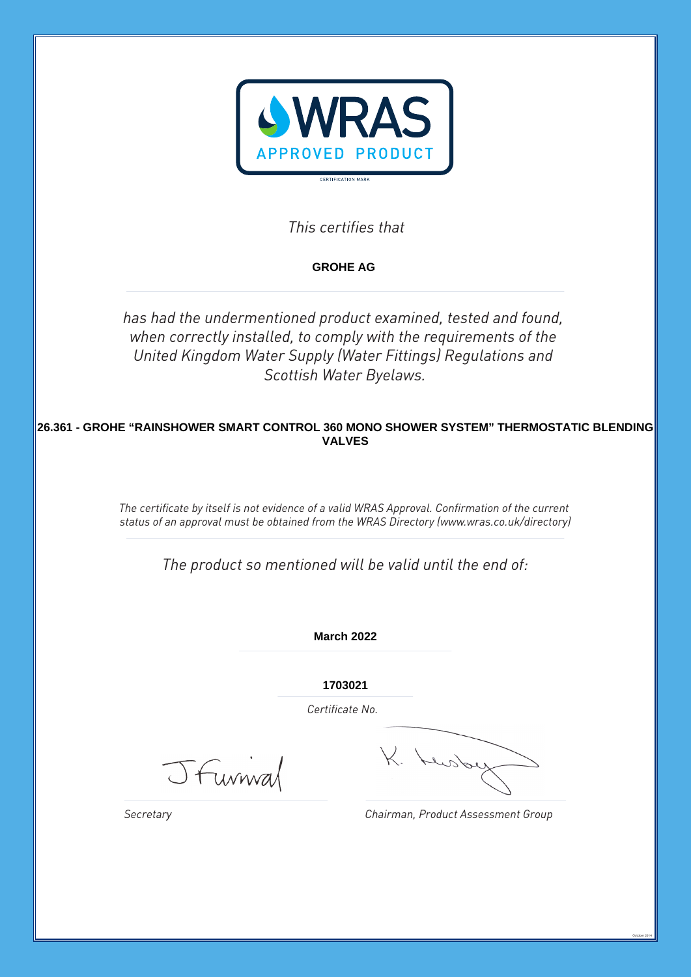

*This certifies that*

**GROHE AG** 

*has had the undermentioned product examined, tested and found, when correctly installed, to comply with the requirements of the United Kingdom Water Supply (Water Fittings) Regulations and Scottish Water Byelaws.*

**26.361 - GROHE "RAINSHOWER SMART CONTROL 360 MONO SHOWER SYSTEM" THERMOSTATIC BLENDING VALVES**

> *The certificate by itself is not evidence of a valid WRAS Approval. Confirmation of the current status of an approval must be obtained from the WRAS Directory (www.wras.co.uk/directory)*

*The product so mentioned will be valid until the end of:*

**March 2022**

**1703021**

*Certificate No.*

JFunnal

L. Lusbe

*Chairman, Product Assessment Group*

October 2014

*Secretary*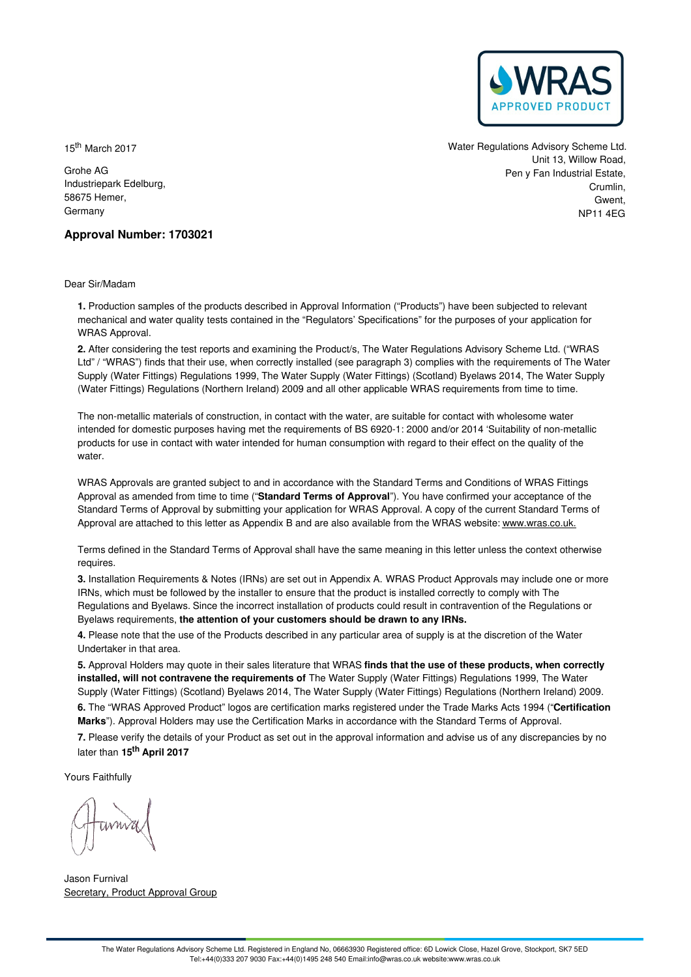

15<sup>th</sup> March 2017

Grohe AG Industriepark Edelburg, 58675 Hemer, Germany

Water Regulations Advisory Scheme Ltd. Unit 13, Willow Road, Pen y Fan Industrial Estate, Crumlin, Gwent NP11 4EG

# **Approval Number: 1703021**

Dear Sir/Madam

**1.** Production samples of the products described in Approval Information ("Products") have been subjected to relevant mechanical and water quality tests contained in the "Regulators' Specifications" for the purposes of your application for WRAS Approval.

**2.** After considering the test reports and examining the Product/s, The Water Regulations Advisory Scheme Ltd. ("WRAS Ltd" / "WRAS") finds that their use, when correctly installed (see paragraph 3) complies with the requirements of The Water Supply (Water Fittings) Regulations 1999, The Water Supply (Water Fittings) (Scotland) Byelaws 2014, The Water Supply (Water Fittings) Regulations (Northern Ireland) 2009 and all other applicable WRAS requirements from time to time.

The non-metallic materials of construction, in contact with the water, are suitable for contact with wholesome water intended for domestic purposes having met the requirements of BS 6920-1: 2000 and/or 2014 'Suitability of non-metallic products for use in contact with water intended for human consumption with regard to their effect on the quality of the water.

WRAS Approvals are granted subject to and in accordance with the Standard Terms and Conditions of WRAS Fittings Approval as amended from time to time ("**Standard Terms of Approval**"). You have confirmed your acceptance of the Standard Terms of Approval by submitting your application for WRAS Approval. A copy of the current Standard Terms of Approval are attached to this letter as Appendix B and are also available from the WRAS website: [www.wras.co.uk.](https://www.wras.co.uk)

Terms defined in the Standard Terms of Approval shall have the same meaning in this letter unless the context otherwise requires.

**3.** Installation Requirements & Notes (IRNs) are set out in Appendix A. WRAS Product Approvals may include one or more IRNs, which must be followed by the installer to ensure that the product is installed correctly to comply with The Regulations and Byelaws. Since the incorrect installation of products could result in contravention of the Regulations or Byelaws requirements, **the attention of your customers should be drawn to any IRNs.**

**4.** Please note that the use of the Products described in any particular area of supply is at the discretion of the Water Undertaker in that area.

**5.** Approval Holders may quote in their sales literature that WRAS **finds that the use of these products, when correctly installed, will not contravene the requirements of** The Water Supply (Water Fittings) Regulations 1999, The Water Supply (Water Fittings) (Scotland) Byelaws 2014, The Water Supply (Water Fittings) Regulations (Northern Ireland) 2009. **6.** The "WRAS Approved Product" logos are certification marks registered under the Trade Marks Acts 1994 ("**Certification**

**Marks**"). Approval Holders may use the Certification Marks in accordance with the Standard Terms of Approval.

**7.** Please verify the details of your Product as set out in the approval information and advise us of any discrepancies by no later than **15 th April 2017**

Yours Faithfully

Jason Furnival Secretary, Product Approval Group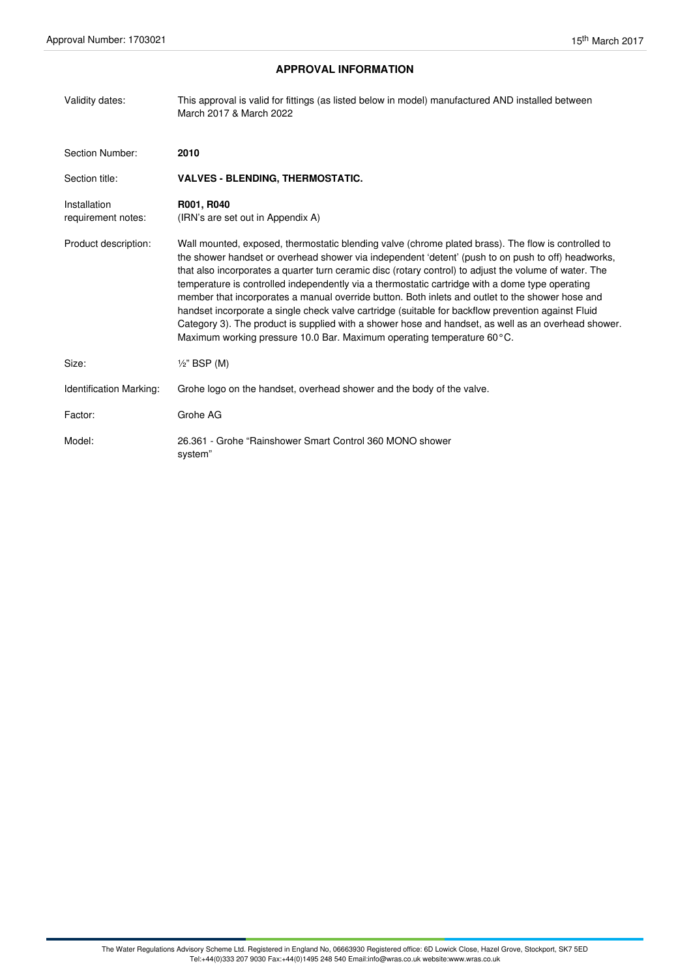# **APPROVAL INFORMATION**

| Validity dates:                    | This approval is valid for fittings (as listed below in model) manufactured AND installed between<br>March 2017 & March 2022                                                                                                                                                                                                                                                                                                                                                                                                                                                                                                                                                                                                                                                                                      |
|------------------------------------|-------------------------------------------------------------------------------------------------------------------------------------------------------------------------------------------------------------------------------------------------------------------------------------------------------------------------------------------------------------------------------------------------------------------------------------------------------------------------------------------------------------------------------------------------------------------------------------------------------------------------------------------------------------------------------------------------------------------------------------------------------------------------------------------------------------------|
| Section Number:                    | 2010                                                                                                                                                                                                                                                                                                                                                                                                                                                                                                                                                                                                                                                                                                                                                                                                              |
| Section title:                     | <b>VALVES - BLENDING, THERMOSTATIC.</b>                                                                                                                                                                                                                                                                                                                                                                                                                                                                                                                                                                                                                                                                                                                                                                           |
| Installation<br>requirement notes: | R001, R040<br>(IRN's are set out in Appendix A)                                                                                                                                                                                                                                                                                                                                                                                                                                                                                                                                                                                                                                                                                                                                                                   |
| Product description:               | Wall mounted, exposed, thermostatic blending valve (chrome plated brass). The flow is controlled to<br>the shower handset or overhead shower via independent 'detent' (push to on push to off) headworks,<br>that also incorporates a quarter turn ceramic disc (rotary control) to adjust the volume of water. The<br>temperature is controlled independently via a thermostatic cartridge with a dome type operating<br>member that incorporates a manual override button. Both inlets and outlet to the shower hose and<br>handset incorporate a single check valve cartridge (suitable for backflow prevention against Fluid<br>Category 3). The product is supplied with a shower hose and handset, as well as an overhead shower.<br>Maximum working pressure 10.0 Bar. Maximum operating temperature 60°C. |
| Size:                              | $\frac{1}{2}$ " BSP (M)                                                                                                                                                                                                                                                                                                                                                                                                                                                                                                                                                                                                                                                                                                                                                                                           |
| Identification Marking:            | Grohe logo on the handset, overhead shower and the body of the valve.                                                                                                                                                                                                                                                                                                                                                                                                                                                                                                                                                                                                                                                                                                                                             |
| Factor:                            | Grohe AG                                                                                                                                                                                                                                                                                                                                                                                                                                                                                                                                                                                                                                                                                                                                                                                                          |
| Model:                             | 26.361 - Grohe "Rainshower Smart Control 360 MONO shower<br>system"                                                                                                                                                                                                                                                                                                                                                                                                                                                                                                                                                                                                                                                                                                                                               |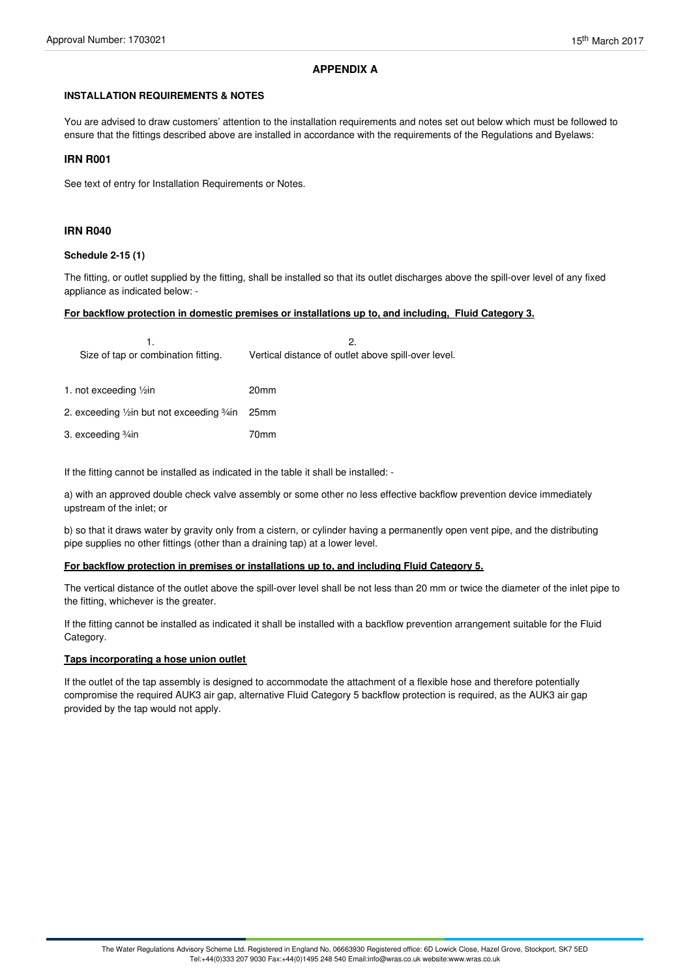# **APPENDIX A**

# **INSTALLATION REQUIREMENTS & NOTES**

You are advised to draw customers' attention to the installation requirements and notes set out below which must be followed to ensure that the fittings described above are installed in accordance with the requirements of the Regulations and Byelaws:

# **IRN R001**

See text of entry for Installation Requirements or Notes.

# **IRN R040**

# **Schedule 2-15 (1)**

The fitting, or outlet supplied by the fitting, shall be installed so that its outlet discharges above the spill-over level of any fixed appliance as indicated below: -

## **For backflow protection in domestic premises or installations up to, and including, Fluid Category 3.**

| Size of tap or combination fitting.             | 2.<br>Vertical distance of outlet above spill-over level. |
|-------------------------------------------------|-----------------------------------------------------------|
| 1. not exceeding 1/2in                          | 20 <sub>mm</sub>                                          |
| 2. exceeding 1/2in but not exceeding 3/4in 25mm |                                                           |
| 3. exceeding ¾in                                | 70 <sub>mm</sub>                                          |
|                                                 |                                                           |

If the fitting cannot be installed as indicated in the table it shall be installed: -

a) with an approved double check valve assembly or some other no less effective backflow prevention device immediately upstream of the inlet; or

b) so that it draws water by gravity only from a cistern, or cylinder having a permanently open vent pipe, and the distributing pipe supplies no other fittings (other than a draining tap) at a lower level.

## **For backflow protection in premises or installations up to, and including Fluid Category 5.**

The vertical distance of the outlet above the spill-over level shall be not less than 20 mm or twice the diameter of the inlet pipe to the fitting, whichever is the greater.

If the fitting cannot be installed as indicated it shall be installed with a backflow prevention arrangement suitable for the Fluid Category.

## **Taps incorporating a hose union outlet**

If the outlet of the tap assembly is designed to accommodate the attachment of a flexible hose and therefore potentially compromise the required AUK3 air gap, alternative Fluid Category 5 backflow protection is required, as the AUK3 air gap provided by the tap would not apply.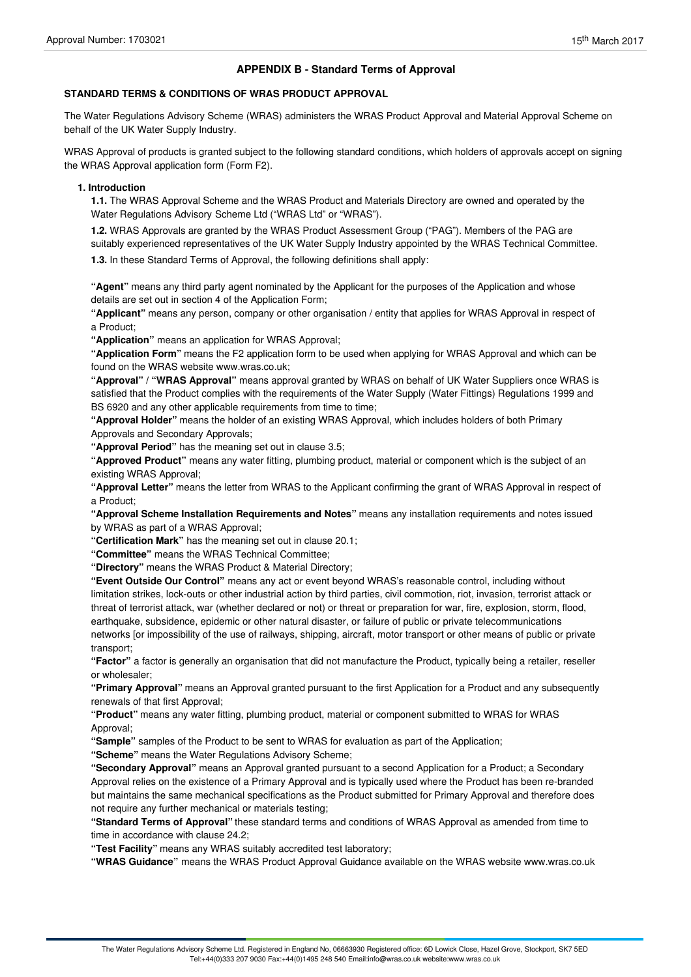# **APPENDIX B - Standard Terms of Approval**

# **STANDARD TERMS & CONDITIONS OF WRAS PRODUCT APPROVAL**

The Water Regulations Advisory Scheme (WRAS) administers the WRAS Product Approval and Material Approval Scheme on behalf of the UK Water Supply Industry.

WRAS Approval of products is granted subject to the following standard conditions, which holders of approvals accept on signing the WRAS Approval application form (Form F2).

### **1. Introduction**

**1.1.** The WRAS Approval Scheme and the WRAS Product and Materials Directory are owned and operated by the Water Regulations Advisory Scheme Ltd ("WRAS Ltd" or "WRAS").

**1.2.** WRAS Approvals are granted by the WRAS Product Assessment Group ("PAG"). Members of the PAG are suitably experienced representatives of the UK Water Supply Industry appointed by the WRAS Technical Committee.

**1.3.** In these Standard Terms of Approval, the following definitions shall apply:

**"Agent"** means any third party agent nominated by the Applicant for the purposes of the Application and whose details are set out in section 4 of the Application Form;

**"Applicant"** means any person, company or other organisation / entity that applies for WRAS Approval in respect of a Product;

**"Application"** means an application for WRAS Approval;

**"Application Form"** means the F2 application form to be used when applying for WRAS Approval and which can be found on the WRAS website www.wras.co.uk;

**"Approval" / "WRAS Approval"** means approval granted by WRAS on behalf of UK Water Suppliers once WRAS is satisfied that the Product complies with the requirements of the Water Supply (Water Fittings) Regulations 1999 and BS 6920 and any other applicable requirements from time to time;

**"Approval Holder"** means the holder of an existing WRAS Approval, which includes holders of both Primary Approvals and Secondary Approvals;

**"Approval Period"** has the meaning set out in clause 3.5;

**"Approved Product"** means any water fitting, plumbing product, material or component which is the subject of an existing WRAS Approval;

**"Approval Letter"** means the letter from WRAS to the Applicant confirming the grant of WRAS Approval in respect of a Product;

**"Approval Scheme Installation Requirements and Notes"** means any installation requirements and notes issued by WRAS as part of a WRAS Approval;

**"Certification Mark"** has the meaning set out in clause 20.1;

**"Committee"** means the WRAS Technical Committee;

**"Directory"** means the WRAS Product & Material Directory;

**"Event Outside Our Control"** means any act or event beyond WRAS's reasonable control, including without limitation strikes, lock-outs or other industrial action by third parties, civil commotion, riot, invasion, terrorist attack or threat of terrorist attack, war (whether declared or not) or threat or preparation for war, fire, explosion, storm, flood, earthquake, subsidence, epidemic or other natural disaster, or failure of public or private telecommunications networks [or impossibility of the use of railways, shipping, aircraft, motor transport or other means of public or private transport;

**"Factor"** a factor is generally an organisation that did not manufacture the Product, typically being a retailer, reseller or wholesaler;

**"Primary Approval"** means an Approval granted pursuant to the first Application for a Product and any subsequently renewals of that first Approval;

**"Product"** means any water fitting, plumbing product, material or component submitted to WRAS for WRAS Approval;

**"Sample"** samples of the Product to be sent to WRAS for evaluation as part of the Application;

**"Scheme"** means the Water Regulations Advisory Scheme;

**"Secondary Approval"** means an Approval granted pursuant to a second Application for a Product; a Secondary Approval relies on the existence of a Primary Approval and is typically used where the Product has been re-branded but maintains the same mechanical specifications as the Product submitted for Primary Approval and therefore does not require any further mechanical or materials testing;

**"Standard Terms of Approval"** these standard terms and conditions of WRAS Approval as amended from time to time in accordance with clause 24.2;

**"Test Facility"** means any WRAS suitably accredited test laboratory;

**"WRAS Guidance"** means the WRAS Product Approval Guidance available on the WRAS website www.wras.co.uk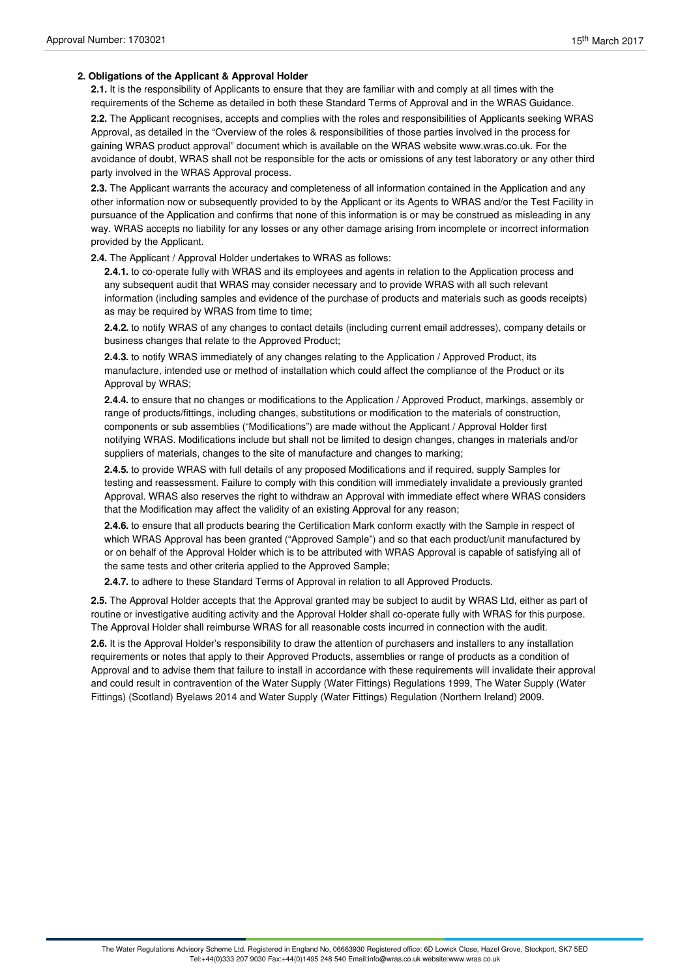## **2. Obligations of the Applicant & Approval Holder**

**2.1.** It is the responsibility of Applicants to ensure that they are familiar with and comply at all times with the requirements of the Scheme as detailed in both these Standard Terms of Approval and in the WRAS Guidance.

**2.2.** The Applicant recognises, accepts and complies with the roles and responsibilities of Applicants seeking WRAS Approval, as detailed in the "Overview of the roles & responsibilities of those parties involved in the process for gaining WRAS product approval" document which is available on the WRAS website www.wras.co.uk. For the avoidance of doubt, WRAS shall not be responsible for the acts or omissions of any test laboratory or any other third party involved in the WRAS Approval process.

**2.3.** The Applicant warrants the accuracy and completeness of all information contained in the Application and any other information now or subsequently provided to by the Applicant or its Agents to WRAS and/or the Test Facility in pursuance of the Application and confirms that none of this information is or may be construed as misleading in any way. WRAS accepts no liability for any losses or any other damage arising from incomplete or incorrect information provided by the Applicant.

**2.4.** The Applicant / Approval Holder undertakes to WRAS as follows:

**2.4.1.** to co-operate fully with WRAS and its employees and agents in relation to the Application process and any subsequent audit that WRAS may consider necessary and to provide WRAS with all such relevant information (including samples and evidence of the purchase of products and materials such as goods receipts) as may be required by WRAS from time to time;

**2.4.2.** to notify WRAS of any changes to contact details (including current email addresses), company details or business changes that relate to the Approved Product;

**2.4.3.** to notify WRAS immediately of any changes relating to the Application / Approved Product, its manufacture, intended use or method of installation which could affect the compliance of the Product or its Approval by WRAS;

**2.4.4.** to ensure that no changes or modifications to the Application / Approved Product, markings, assembly or range of products/fittings, including changes, substitutions or modification to the materials of construction, components or sub assemblies ("Modifications") are made without the Applicant / Approval Holder first notifying WRAS. Modifications include but shall not be limited to design changes, changes in materials and/or suppliers of materials, changes to the site of manufacture and changes to marking;

**2.4.5.** to provide WRAS with full details of any proposed Modifications and if required, supply Samples for testing and reassessment. Failure to comply with this condition will immediately invalidate a previously granted Approval. WRAS also reserves the right to withdraw an Approval with immediate effect where WRAS considers that the Modification may affect the validity of an existing Approval for any reason;

**2.4.6.** to ensure that all products bearing the Certification Mark conform exactly with the Sample in respect of which WRAS Approval has been granted ("Approved Sample") and so that each product/unit manufactured by or on behalf of the Approval Holder which is to be attributed with WRAS Approval is capable of satisfying all of the same tests and other criteria applied to the Approved Sample;

**2.4.7.** to adhere to these Standard Terms of Approval in relation to all Approved Products.

**2.5.** The Approval Holder accepts that the Approval granted may be subject to audit by WRAS Ltd, either as part of routine or investigative auditing activity and the Approval Holder shall co-operate fully with WRAS for this purpose. The Approval Holder shall reimburse WRAS for all reasonable costs incurred in connection with the audit.

**2.6.** It is the Approval Holder's responsibility to draw the attention of purchasers and installers to any installation requirements or notes that apply to their Approved Products, assemblies or range of products as a condition of Approval and to advise them that failure to install in accordance with these requirements will invalidate their approval and could result in contravention of the Water Supply (Water Fittings) Regulations 1999, The Water Supply (Water Fittings) (Scotland) Byelaws 2014 and Water Supply (Water Fittings) Regulation (Northern Ireland) 2009.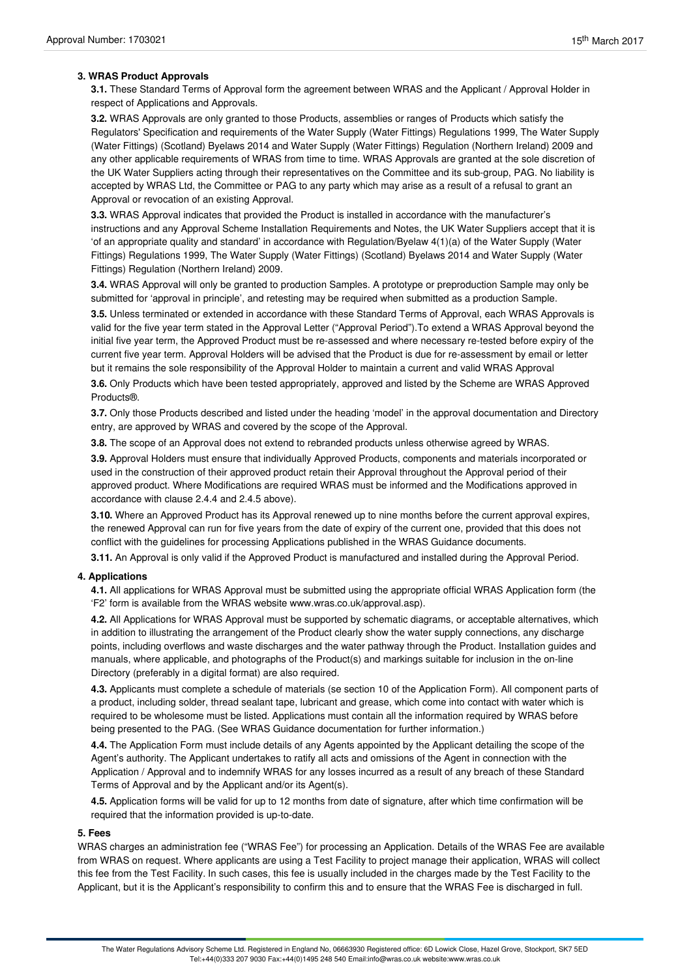### **3. WRAS Product Approvals**

**3.1.** These Standard Terms of Approval form the agreement between WRAS and the Applicant / Approval Holder in respect of Applications and Approvals.

**3.2.** WRAS Approvals are only granted to those Products, assemblies or ranges of Products which satisfy the Regulators' Specification and requirements of the Water Supply (Water Fittings) Regulations 1999, The Water Supply (Water Fittings) (Scotland) Byelaws 2014 and Water Supply (Water Fittings) Regulation (Northern Ireland) 2009 and any other applicable requirements of WRAS from time to time. WRAS Approvals are granted at the sole discretion of the UK Water Suppliers acting through their representatives on the Committee and its sub-group, PAG. No liability is accepted by WRAS Ltd, the Committee or PAG to any party which may arise as a result of a refusal to grant an Approval or revocation of an existing Approval.

**3.3.** WRAS Approval indicates that provided the Product is installed in accordance with the manufacturer's instructions and any Approval Scheme Installation Requirements and Notes, the UK Water Suppliers accept that it is 'of an appropriate quality and standard' in accordance with Regulation/Byelaw 4(1)(a) of the Water Supply (Water Fittings) Regulations 1999, The Water Supply (Water Fittings) (Scotland) Byelaws 2014 and Water Supply (Water Fittings) Regulation (Northern Ireland) 2009.

**3.4.** WRAS Approval will only be granted to production Samples. A prototype or preproduction Sample may only be submitted for 'approval in principle', and retesting may be required when submitted as a production Sample.

**3.5.** Unless terminated or extended in accordance with these Standard Terms of Approval, each WRAS Approvals is valid for the five year term stated in the Approval Letter ("Approval Period").To extend a WRAS Approval beyond the initial five year term, the Approved Product must be re-assessed and where necessary re-tested before expiry of the current five year term. Approval Holders will be advised that the Product is due for re-assessment by email or letter but it remains the sole responsibility of the Approval Holder to maintain a current and valid WRAS Approval

**3.6.** Only Products which have been tested appropriately, approved and listed by the Scheme are WRAS Approved Products®.

**3.7.** Only those Products described and listed under the heading 'model' in the approval documentation and Directory entry, are approved by WRAS and covered by the scope of the Approval.

**3.8.** The scope of an Approval does not extend to rebranded products unless otherwise agreed by WRAS.

**3.9.** Approval Holders must ensure that individually Approved Products, components and materials incorporated or used in the construction of their approved product retain their Approval throughout the Approval period of their approved product. Where Modifications are required WRAS must be informed and the Modifications approved in accordance with clause 2.4.4 and 2.4.5 above).

**3.10.** Where an Approved Product has its Approval renewed up to nine months before the current approval expires, the renewed Approval can run for five years from the date of expiry of the current one, provided that this does not conflict with the guidelines for processing Applications published in the WRAS Guidance documents.

**3.11.** An Approval is only valid if the Approved Product is manufactured and installed during the Approval Period.

## **4. Applications**

**4.1.** All applications for WRAS Approval must be submitted using the appropriate official WRAS Application form (the 'F2' form is available from the WRAS website www.wras.co.uk/approval.asp).

**4.2.** All Applications for WRAS Approval must be supported by schematic diagrams, or acceptable alternatives, which in addition to illustrating the arrangement of the Product clearly show the water supply connections, any discharge points, including overflows and waste discharges and the water pathway through the Product. Installation guides and manuals, where applicable, and photographs of the Product(s) and markings suitable for inclusion in the on-line Directory (preferably in a digital format) are also required.

**4.3.** Applicants must complete a schedule of materials (se section 10 of the Application Form). All component parts of a product, including solder, thread sealant tape, lubricant and grease, which come into contact with water which is required to be wholesome must be listed. Applications must contain all the information required by WRAS before being presented to the PAG. (See WRAS Guidance documentation for further information.)

**4.4.** The Application Form must include details of any Agents appointed by the Applicant detailing the scope of the Agent's authority. The Applicant undertakes to ratify all acts and omissions of the Agent in connection with the Application / Approval and to indemnify WRAS for any losses incurred as a result of any breach of these Standard Terms of Approval and by the Applicant and/or its Agent(s).

**4.5.** Application forms will be valid for up to 12 months from date of signature, after which time confirmation will be required that the information provided is up-to-date.

#### **5. Fees**

WRAS charges an administration fee ("WRAS Fee") for processing an Application. Details of the WRAS Fee are available from WRAS on request. Where applicants are using a Test Facility to project manage their application, WRAS will collect this fee from the Test Facility. In such cases, this fee is usually included in the charges made by the Test Facility to the Applicant, but it is the Applicant's responsibility to confirm this and to ensure that the WRAS Fee is discharged in full.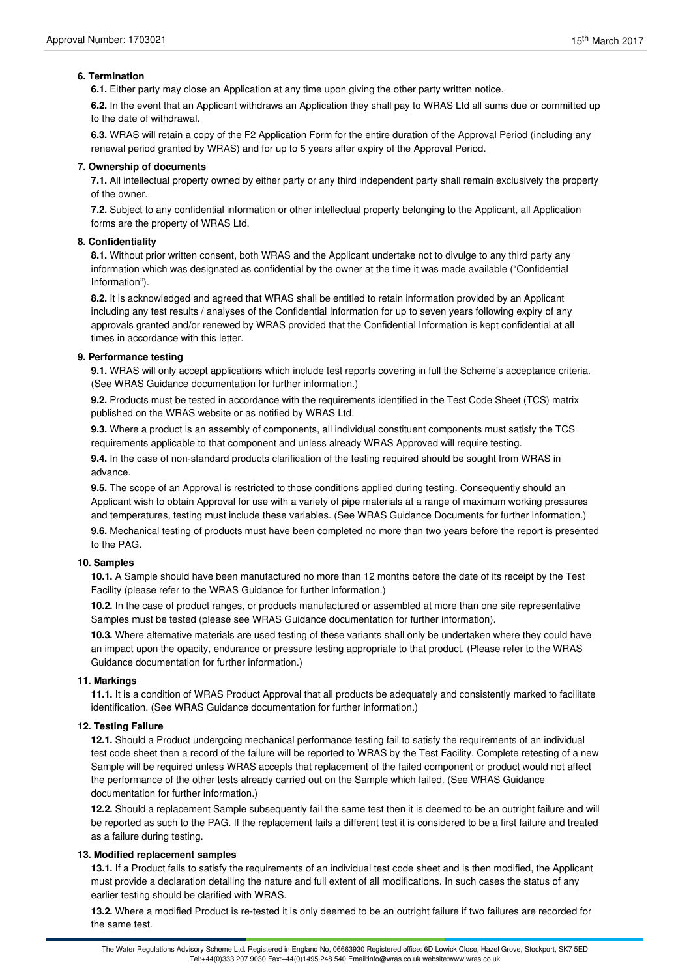# **6. Termination**

**6.1.** Either party may close an Application at any time upon giving the other party written notice.

**6.2.** In the event that an Applicant withdraws an Application they shall pay to WRAS Ltd all sums due or committed up to the date of withdrawal.

**6.3.** WRAS will retain a copy of the F2 Application Form for the entire duration of the Approval Period (including any renewal period granted by WRAS) and for up to 5 years after expiry of the Approval Period.

### **7. Ownership of documents**

**7.1.** All intellectual property owned by either party or any third independent party shall remain exclusively the property of the owner.

**7.2.** Subject to any confidential information or other intellectual property belonging to the Applicant, all Application forms are the property of WRAS Ltd.

### **8. Confidentiality**

**8.1.** Without prior written consent, both WRAS and the Applicant undertake not to divulge to any third party any information which was designated as confidential by the owner at the time it was made available ("Confidential Information").

**8.2.** It is acknowledged and agreed that WRAS shall be entitled to retain information provided by an Applicant including any test results / analyses of the Confidential Information for up to seven years following expiry of any approvals granted and/or renewed by WRAS provided that the Confidential Information is kept confidential at all times in accordance with this letter.

#### **9. Performance testing**

**9.1.** WRAS will only accept applications which include test reports covering in full the Scheme's acceptance criteria. (See WRAS Guidance documentation for further information.)

**9.2.** Products must be tested in accordance with the requirements identified in the Test Code Sheet (TCS) matrix published on the WRAS website or as notified by WRAS Ltd.

**9.3.** Where a product is an assembly of components, all individual constituent components must satisfy the TCS requirements applicable to that component and unless already WRAS Approved will require testing.

**9.4.** In the case of non-standard products clarification of the testing required should be sought from WRAS in advance.

**9.5.** The scope of an Approval is restricted to those conditions applied during testing. Consequently should an Applicant wish to obtain Approval for use with a variety of pipe materials at a range of maximum working pressures and temperatures, testing must include these variables. (See WRAS Guidance Documents for further information.)

**9.6.** Mechanical testing of products must have been completed no more than two years before the report is presented to the PAG.

## **10. Samples**

**10.1.** A Sample should have been manufactured no more than 12 months before the date of its receipt by the Test Facility (please refer to the WRAS Guidance for further information.)

**10.2.** In the case of product ranges, or products manufactured or assembled at more than one site representative Samples must be tested (please see WRAS Guidance documentation for further information).

**10.3.** Where alternative materials are used testing of these variants shall only be undertaken where they could have an impact upon the opacity, endurance or pressure testing appropriate to that product. (Please refer to the WRAS Guidance documentation for further information.)

## **11. Markings**

**11.1.** It is a condition of WRAS Product Approval that all products be adequately and consistently marked to facilitate identification. (See WRAS Guidance documentation for further information.)

## **12. Testing Failure**

**12.1.** Should a Product undergoing mechanical performance testing fail to satisfy the requirements of an individual test code sheet then a record of the failure will be reported to WRAS by the Test Facility. Complete retesting of a new Sample will be required unless WRAS accepts that replacement of the failed component or product would not affect the performance of the other tests already carried out on the Sample which failed. (See WRAS Guidance documentation for further information.)

**12.2.** Should a replacement Sample subsequently fail the same test then it is deemed to be an outright failure and will be reported as such to the PAG. If the replacement fails a different test it is considered to be a first failure and treated as a failure during testing.

## **13. Modified replacement samples**

**13.1.** If a Product fails to satisfy the requirements of an individual test code sheet and is then modified, the Applicant must provide a declaration detailing the nature and full extent of all modifications. In such cases the status of any earlier testing should be clarified with WRAS.

**13.2.** Where a modified Product is re-tested it is only deemed to be an outright failure if two failures are recorded for the same test.

The Water Regulations Advisory Scheme Ltd. Registered in England No, 06663930 Registered office: 6D Lowick Close, Hazel Grove, Stockport, SK7 5ED Tel:+44(0)333 207 9030 Fax:+44(0)1495 248 540 Email:info@wras.co.uk website:www.wras.co.uk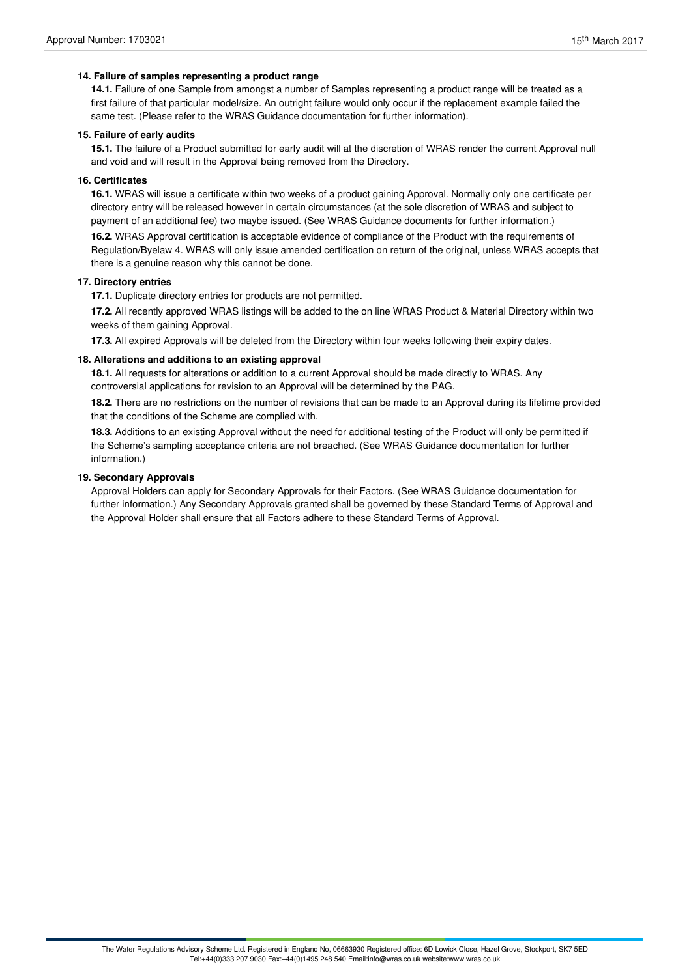## **14. Failure of samples representing a product range**

**14.1.** Failure of one Sample from amongst a number of Samples representing a product range will be treated as a first failure of that particular model/size. An outright failure would only occur if the replacement example failed the same test. (Please refer to the WRAS Guidance documentation for further information).

#### **15. Failure of early audits**

**15.1.** The failure of a Product submitted for early audit will at the discretion of WRAS render the current Approval null and void and will result in the Approval being removed from the Directory.

## **16. Certificates**

**16.1.** WRAS will issue a certificate within two weeks of a product gaining Approval. Normally only one certificate per directory entry will be released however in certain circumstances (at the sole discretion of WRAS and subject to payment of an additional fee) two maybe issued. (See WRAS Guidance documents for further information.)

**16.2.** WRAS Approval certification is acceptable evidence of compliance of the Product with the requirements of Regulation/Byelaw 4. WRAS will only issue amended certification on return of the original, unless WRAS accepts that there is a genuine reason why this cannot be done.

#### **17. Directory entries**

**17.1.** Duplicate directory entries for products are not permitted.

**17.2.** All recently approved WRAS listings will be added to the on line WRAS Product & Material Directory within two weeks of them gaining Approval.

**17.3.** All expired Approvals will be deleted from the Directory within four weeks following their expiry dates.

## **18. Alterations and additions to an existing approval**

**18.1.** All requests for alterations or addition to a current Approval should be made directly to WRAS. Any controversial applications for revision to an Approval will be determined by the PAG.

**18.2.** There are no restrictions on the number of revisions that can be made to an Approval during its lifetime provided that the conditions of the Scheme are complied with.

**18.3.** Additions to an existing Approval without the need for additional testing of the Product will only be permitted if the Scheme's sampling acceptance criteria are not breached. (See WRAS Guidance documentation for further information.)

#### **19. Secondary Approvals**

Approval Holders can apply for Secondary Approvals for their Factors. (See WRAS Guidance documentation for further information.) Any Secondary Approvals granted shall be governed by these Standard Terms of Approval and the Approval Holder shall ensure that all Factors adhere to these Standard Terms of Approval.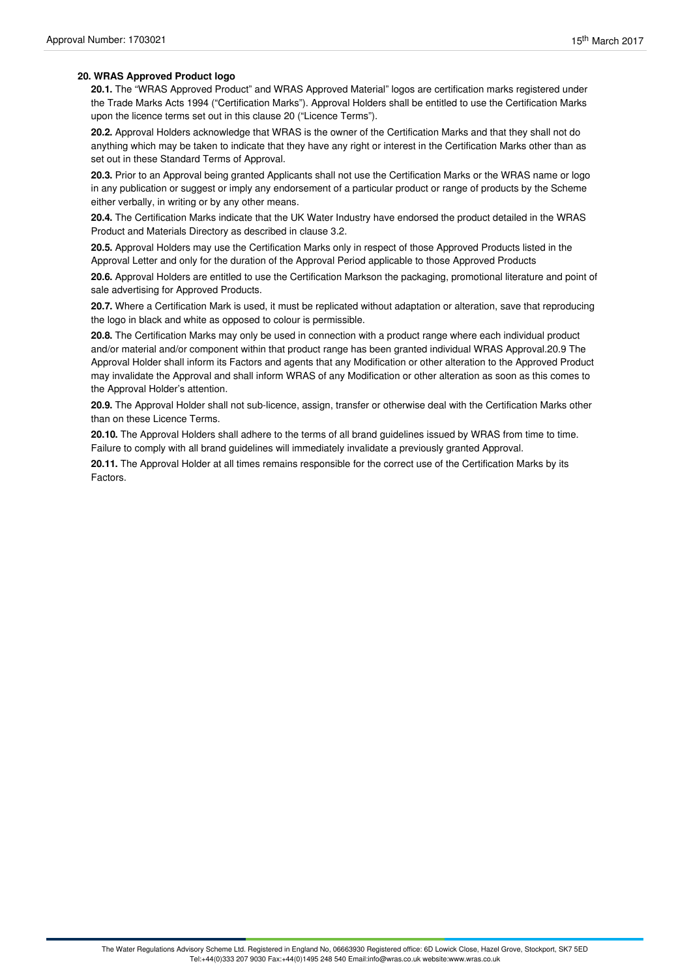## **20. WRAS Approved Product logo**

**20.1.** The "WRAS Approved Product" and WRAS Approved Material" logos are certification marks registered under the Trade Marks Acts 1994 ("Certification Marks"). Approval Holders shall be entitled to use the Certification Marks upon the licence terms set out in this clause 20 ("Licence Terms").

**20.2.** Approval Holders acknowledge that WRAS is the owner of the Certification Marks and that they shall not do anything which may be taken to indicate that they have any right or interest in the Certification Marks other than as set out in these Standard Terms of Approval.

20.3. Prior to an Approval being granted Applicants shall not use the Certification Marks or the WRAS name or logo in any publication or suggest or imply any endorsement of a particular product or range of products by the Scheme either verbally, in writing or by any other means.

**20.4.** The Certification Marks indicate that the UK Water Industry have endorsed the product detailed in the WRAS Product and Materials Directory as described in clause 3.2.

**20.5.** Approval Holders may use the Certification Marks only in respect of those Approved Products listed in the Approval Letter and only for the duration of the Approval Period applicable to those Approved Products

**20.6.** Approval Holders are entitled to use the Certification Markson the packaging, promotional literature and point of sale advertising for Approved Products.

**20.7.** Where a Certification Mark is used, it must be replicated without adaptation or alteration, save that reproducing the logo in black and white as opposed to colour is permissible.

**20.8.** The Certification Marks may only be used in connection with a product range where each individual product and/or material and/or component within that product range has been granted individual WRAS Approval.20.9 The Approval Holder shall inform its Factors and agents that any Modification or other alteration to the Approved Product may invalidate the Approval and shall inform WRAS of any Modification or other alteration as soon as this comes to the Approval Holder's attention.

**20.9.** The Approval Holder shall not sub-licence, assign, transfer or otherwise deal with the Certification Marks other than on these Licence Terms.

**20.10.** The Approval Holders shall adhere to the terms of all brand guidelines issued by WRAS from time to time. Failure to comply with all brand guidelines will immediately invalidate a previously granted Approval.

**20.11.** The Approval Holder at all times remains responsible for the correct use of the Certification Marks by its Factors.